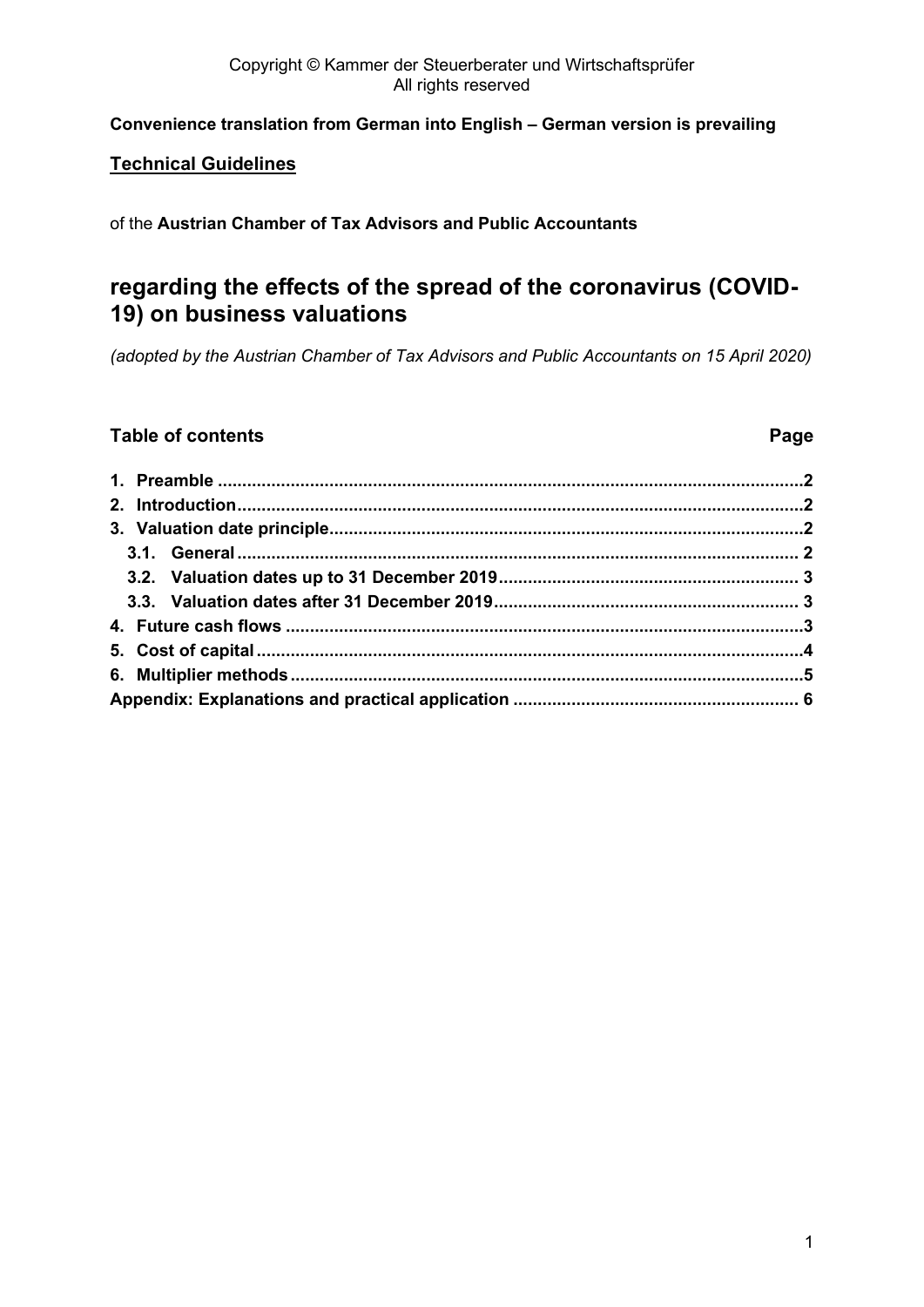#### Copyright © Kammer der Steuerberater und Wirtschaftsprüfer All rights reserved

### **Convenience translation from German into English – German version is prevailing**

### **Technical Guidelines**

of the **Austrian Chamber of Tax Advisors and Public Accountants**

# **regarding the effects of the spread of the coronavirus (COVID-19) on business valuations**

*(adopted by the Austrian Chamber of Tax Advisors and Public Accountants on 15 April 2020)*

### **Table of contents Page**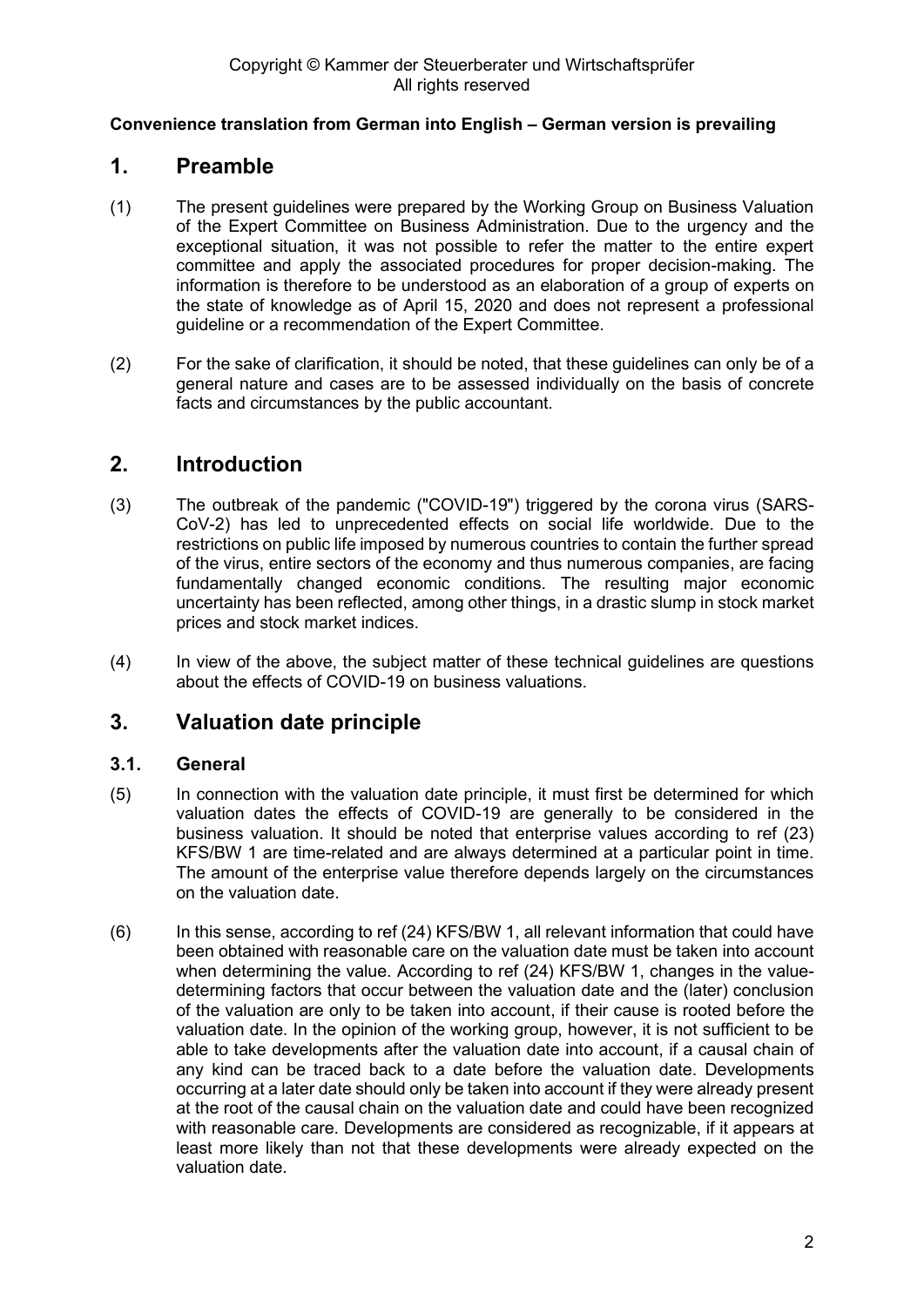### <span id="page-1-0"></span>**1. Preamble**

- (1) The present guidelines were prepared by the Working Group on Business Valuation of the Expert Committee on Business Administration. Due to the urgency and the exceptional situation, it was not possible to refer the matter to the entire expert committee and apply the associated procedures for proper decision-making. The information is therefore to be understood as an elaboration of a group of experts on the state of knowledge as of April 15, 2020 and does not represent a professional guideline or a recommendation of the Expert Committee.
- (2) For the sake of clarification, it should be noted, that these guidelines can only be of a general nature and cases are to be assessed individually on the basis of concrete facts and circumstances by the public accountant.

# <span id="page-1-1"></span>**2. Introduction**

- (3) The outbreak of the pandemic ("COVID-19") triggered by the corona virus (SARS-CoV-2) has led to unprecedented effects on social life worldwide. Due to the restrictions on public life imposed by numerous countries to contain the further spread of the virus, entire sectors of the economy and thus numerous companies, are facing fundamentally changed economic conditions. The resulting major economic uncertainty has been reflected, among other things, in a drastic slump in stock market prices and stock market indices.
- (4) In view of the above, the subject matter of these technical guidelines are questions about the effects of COVID-19 on business valuations.

# <span id="page-1-2"></span>**3. Valuation date principle**

### <span id="page-1-3"></span>**3.1. General**

- (5) In connection with the valuation date principle, it must first be determined for which valuation dates the effects of COVID-19 are generally to be considered in the business valuation. It should be noted that enterprise values according to ref (23) KFS/BW 1 are time-related and are always determined at a particular point in time. The amount of the enterprise value therefore depends largely on the circumstances on the valuation date.
- (6) In this sense, according to ref (24) KFS/BW 1, all relevant information that could have been obtained with reasonable care on the valuation date must be taken into account when determining the value. According to ref (24) KFS/BW 1, changes in the valuedetermining factors that occur between the valuation date and the (later) conclusion of the valuation are only to be taken into account, if their cause is rooted before the valuation date. In the opinion of the working group, however, it is not sufficient to be able to take developments after the valuation date into account, if a causal chain of any kind can be traced back to a date before the valuation date. Developments occurring at a later date should only be taken into account if they were already present at the root of the causal chain on the valuation date and could have been recognized with reasonable care. Developments are considered as recognizable, if it appears at least more likely than not that these developments were already expected on the valuation date.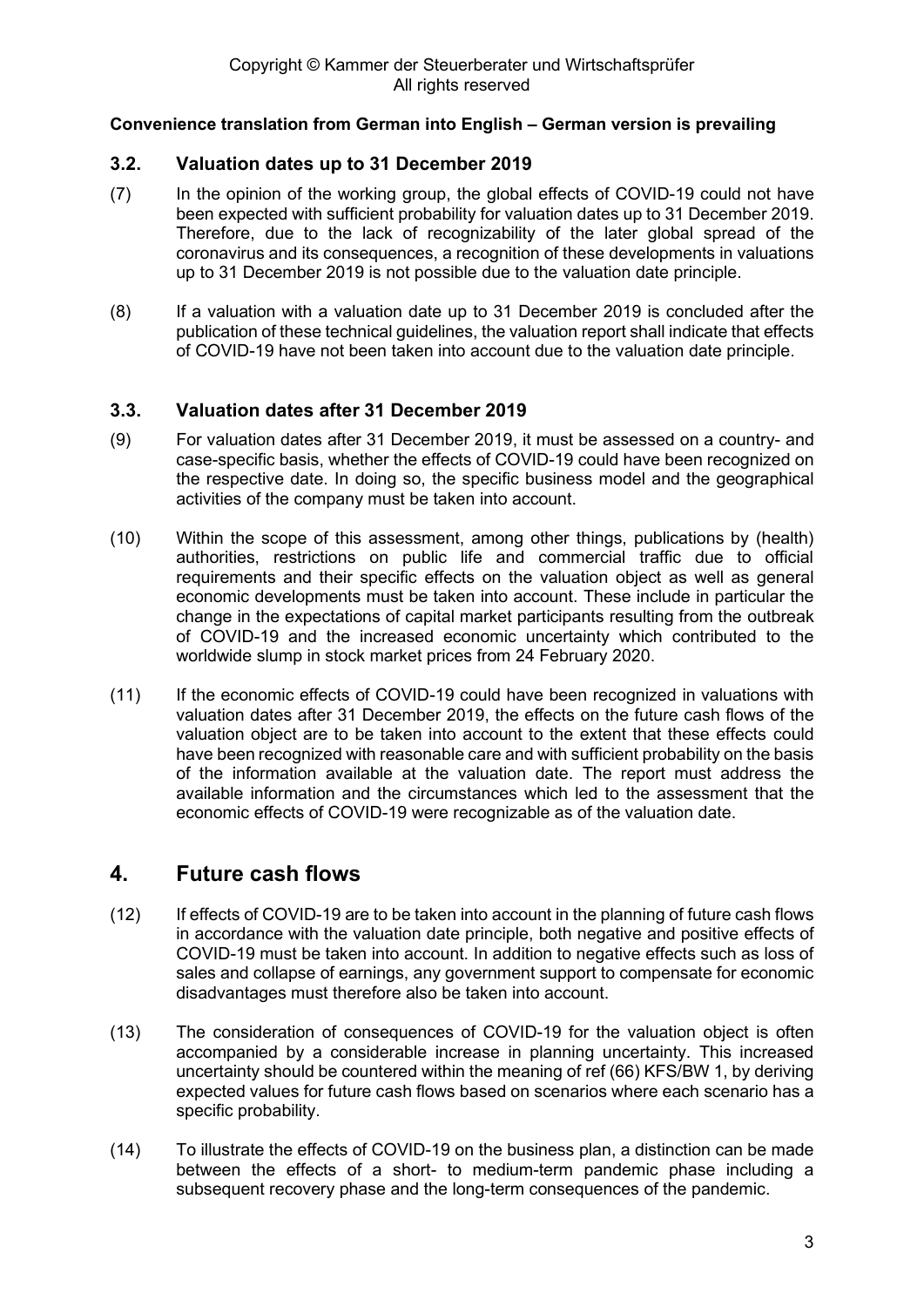### <span id="page-2-0"></span>**3.2. Valuation dates up to 31 December 2019**

- (7) In the opinion of the working group, the global effects of COVID-19 could not have been expected with sufficient probability for valuation dates up to 31 December 2019. Therefore, due to the lack of recognizability of the later global spread of the coronavirus and its consequences, a recognition of these developments in valuations up to 31 December 2019 is not possible due to the valuation date principle.
- (8) If a valuation with a valuation date up to 31 December 2019 is concluded after the publication of these technical guidelines, the valuation report shall indicate that effects of COVID-19 have not been taken into account due to the valuation date principle.

### <span id="page-2-1"></span>**3.3. Valuation dates after 31 December 2019**

- (9) For valuation dates after 31 December 2019, it must be assessed on a country- and case-specific basis, whether the effects of COVID-19 could have been recognized on the respective date. In doing so, the specific business model and the geographical activities of the company must be taken into account.
- (10) Within the scope of this assessment, among other things, publications by (health) authorities, restrictions on public life and commercial traffic due to official requirements and their specific effects on the valuation object as well as general economic developments must be taken into account. These include in particular the change in the expectations of capital market participants resulting from the outbreak of COVID-19 and the increased economic uncertainty which contributed to the worldwide slump in stock market prices from 24 February 2020.
- (11) If the economic effects of COVID-19 could have been recognized in valuations with valuation dates after 31 December 2019, the effects on the future cash flows of the valuation object are to be taken into account to the extent that these effects could have been recognized with reasonable care and with sufficient probability on the basis of the information available at the valuation date. The report must address the available information and the circumstances which led to the assessment that the economic effects of COVID-19 were recognizable as of the valuation date.

# <span id="page-2-2"></span>**4. Future cash flows**

- (12) If effects of COVID-19 are to be taken into account in the planning of future cash flows in accordance with the valuation date principle, both negative and positive effects of COVID-19 must be taken into account. In addition to negative effects such as loss of sales and collapse of earnings, any government support to compensate for economic disadvantages must therefore also be taken into account.
- (13) The consideration of consequences of COVID-19 for the valuation object is often accompanied by a considerable increase in planning uncertainty. This increased uncertainty should be countered within the meaning of ref (66) KFS/BW 1, by deriving expected values for future cash flows based on scenarios where each scenario has a specific probability.
- (14) To illustrate the effects of COVID-19 on the business plan, a distinction can be made between the effects of a short- to medium-term pandemic phase including a subsequent recovery phase and the long-term consequences of the pandemic.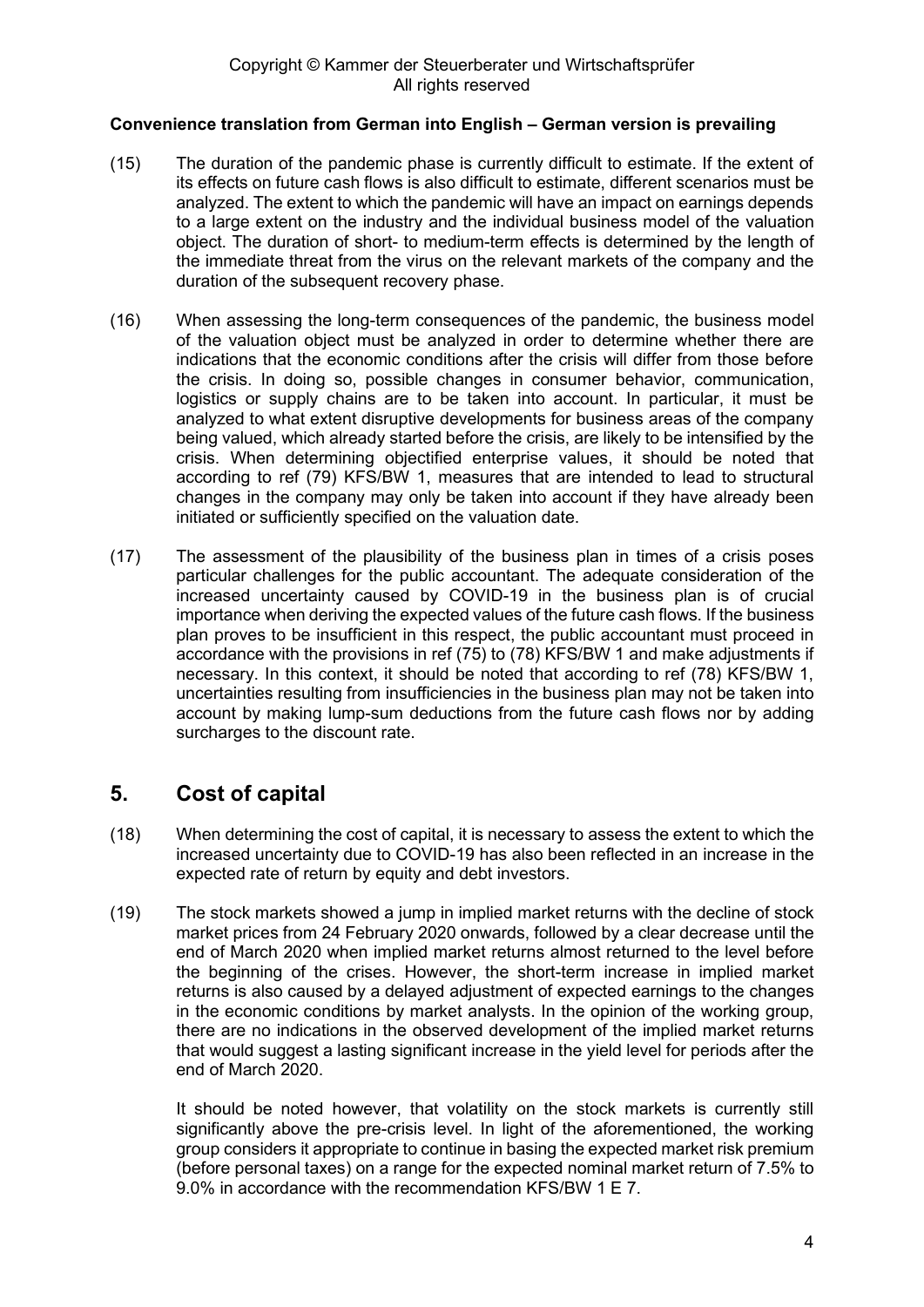- (15) The duration of the pandemic phase is currently difficult to estimate. If the extent of its effects on future cash flows is also difficult to estimate, different scenarios must be analyzed. The extent to which the pandemic will have an impact on earnings depends to a large extent on the industry and the individual business model of the valuation object. The duration of short- to medium-term effects is determined by the length of the immediate threat from the virus on the relevant markets of the company and the duration of the subsequent recovery phase.
- (16) When assessing the long-term consequences of the pandemic, the business model of the valuation object must be analyzed in order to determine whether there are indications that the economic conditions after the crisis will differ from those before the crisis. In doing so, possible changes in consumer behavior, communication, logistics or supply chains are to be taken into account. In particular, it must be analyzed to what extent disruptive developments for business areas of the company being valued, which already started before the crisis, are likely to be intensified by the crisis. When determining objectified enterprise values, it should be noted that according to ref (79) KFS/BW 1, measures that are intended to lead to structural changes in the company may only be taken into account if they have already been initiated or sufficiently specified on the valuation date.
- (17) The assessment of the plausibility of the business plan in times of a crisis poses particular challenges for the public accountant. The adequate consideration of the increased uncertainty caused by COVID-19 in the business plan is of crucial importance when deriving the expected values of the future cash flows. If the business plan proves to be insufficient in this respect, the public accountant must proceed in accordance with the provisions in ref (75) to (78) KFS/BW 1 and make adjustments if necessary. In this context, it should be noted that according to ref (78) KFS/BW 1, uncertainties resulting from insufficiencies in the business plan may not be taken into account by making lump-sum deductions from the future cash flows nor by adding surcharges to the discount rate.

# <span id="page-3-0"></span>**5. Cost of capital**

- (18) When determining the cost of capital, it is necessary to assess the extent to which the increased uncertainty due to COVID-19 has also been reflected in an increase in the expected rate of return by equity and debt investors.
- (19) The stock markets showed a jump in implied market returns with the decline of stock market prices from 24 February 2020 onwards, followed by a clear decrease until the end of March 2020 when implied market returns almost returned to the level before the beginning of the crises. However, the short-term increase in implied market returns is also caused by a delayed adjustment of expected earnings to the changes in the economic conditions by market analysts. In the opinion of the working group, there are no indications in the observed development of the implied market returns that would suggest a lasting significant increase in the yield level for periods after the end of March 2020.

It should be noted however, that volatility on the stock markets is currently still significantly above the pre-crisis level. In light of the aforementioned, the working group considers it appropriate to continue in basing the expected market risk premium (before personal taxes) on a range for the expected nominal market return of 7.5% to 9.0% in accordance with the recommendation KFS/BW 1 E 7.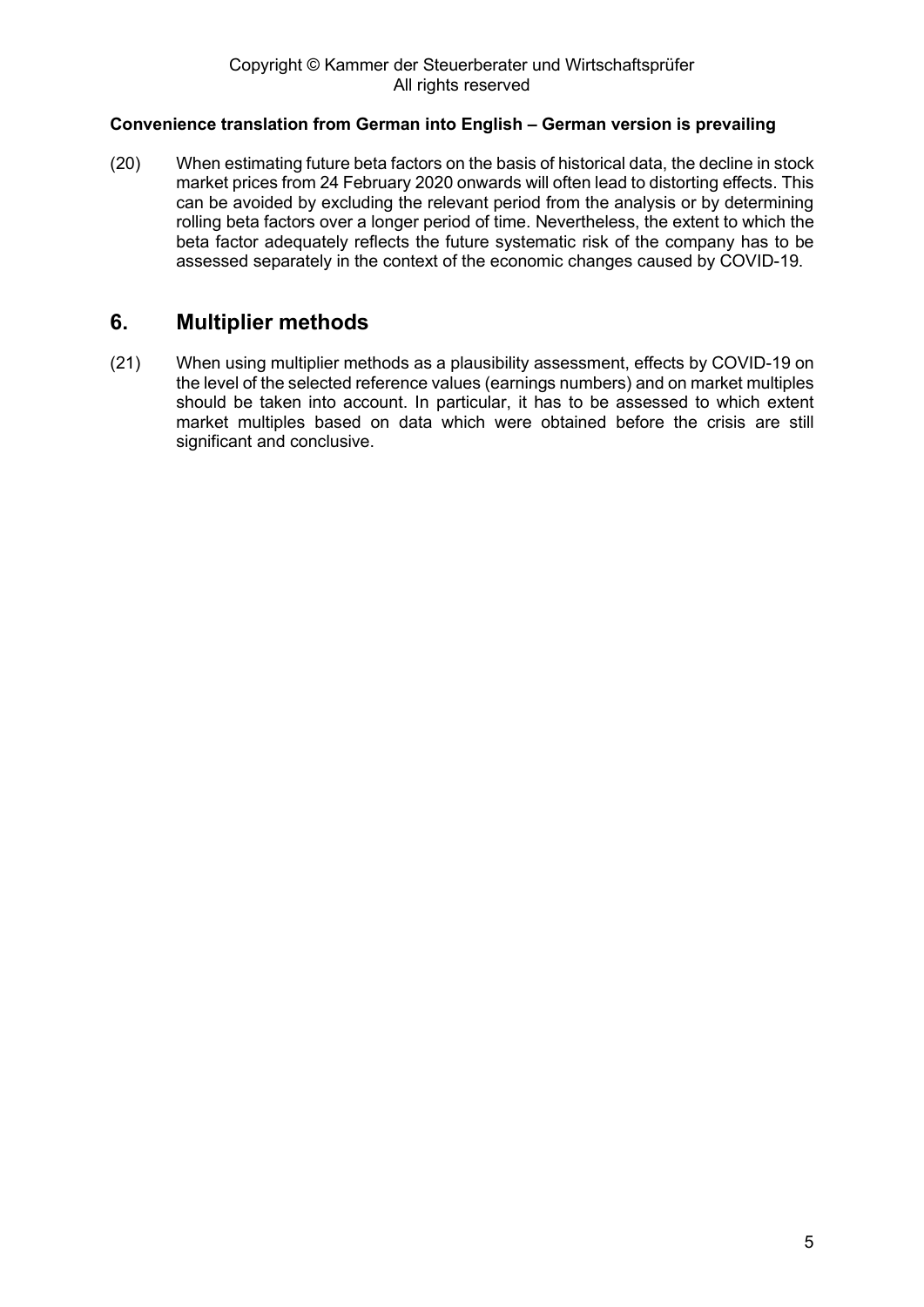(20) When estimating future beta factors on the basis of historical data, the decline in stock market prices from 24 February 2020 onwards will often lead to distorting effects. This can be avoided by excluding the relevant period from the analysis or by determining rolling beta factors over a longer period of time. Nevertheless, the extent to which the beta factor adequately reflects the future systematic risk of the company has to be assessed separately in the context of the economic changes caused by COVID-19.

# <span id="page-4-0"></span>**6. Multiplier methods**

(21) When using multiplier methods as a plausibility assessment, effects by COVID-19 on the level of the selected reference values (earnings numbers) and on market multiples should be taken into account. In particular, it has to be assessed to which extent market multiples based on data which were obtained before the crisis are still significant and conclusive.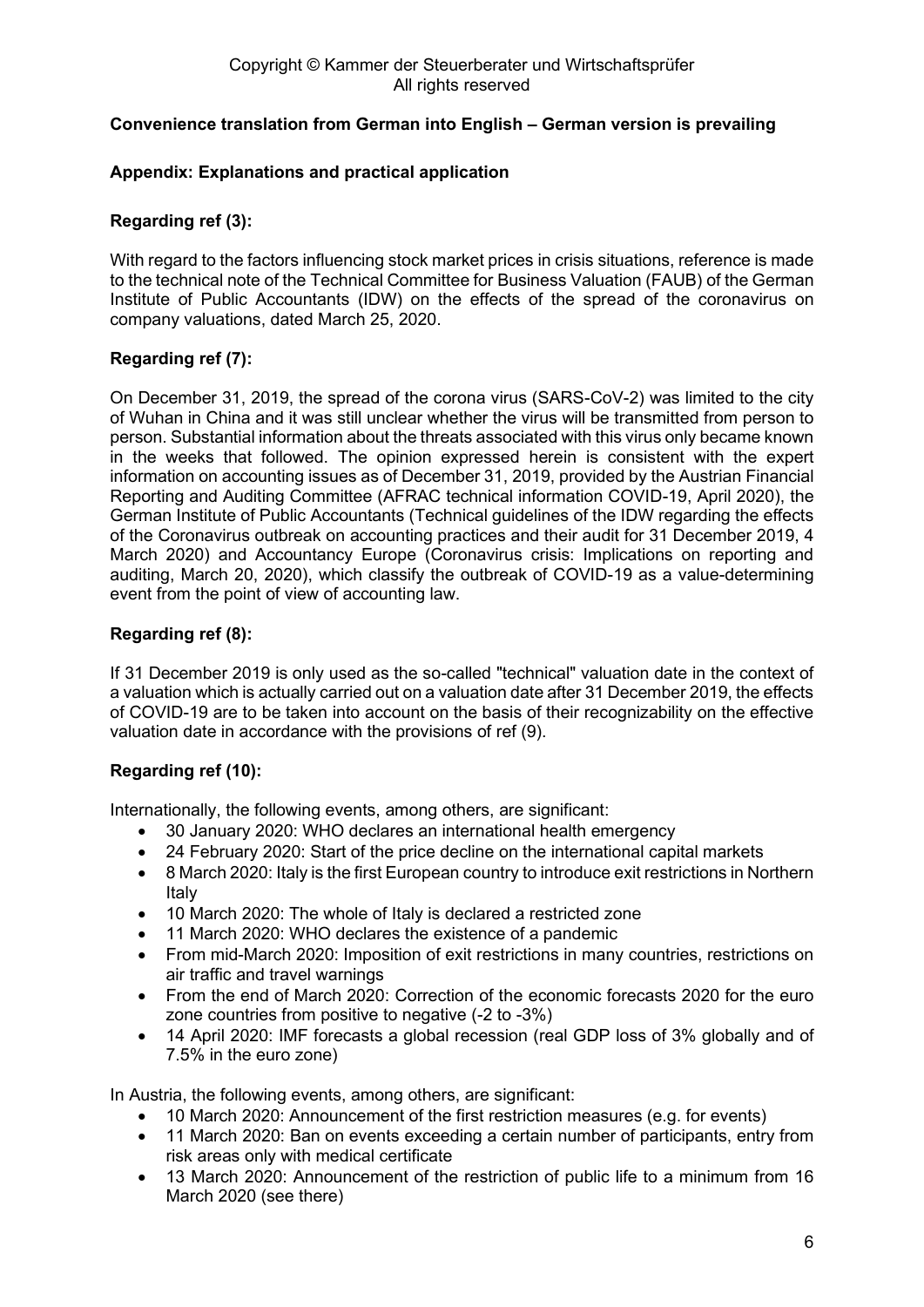### <span id="page-5-0"></span>**Appendix: Explanations and practical application**

### **Regarding ref (3):**

With regard to the factors influencing stock market prices in crisis situations, reference is made to the technical note of the Technical Committee for Business Valuation (FAUB) of the German Institute of Public Accountants (IDW) on the effects of the spread of the coronavirus on company valuations, dated March 25, 2020.

### **Regarding ref (7):**

On December 31, 2019, the spread of the corona virus (SARS-CoV-2) was limited to the city of Wuhan in China and it was still unclear whether the virus will be transmitted from person to person. Substantial information about the threats associated with this virus only became known in the weeks that followed. The opinion expressed herein is consistent with the expert information on accounting issues as of December 31, 2019, provided by the Austrian Financial Reporting and Auditing Committee (AFRAC technical information COVID-19, April 2020), the German Institute of Public Accountants (Technical guidelines of the IDW regarding the effects of the Coronavirus outbreak on accounting practices and their audit for 31 December 2019, 4 March 2020) and Accountancy Europe (Coronavirus crisis: Implications on reporting and auditing, March 20, 2020), which classify the outbreak of COVID-19 as a value-determining event from the point of view of accounting law.

### **Regarding ref (8):**

If 31 December 2019 is only used as the so-called "technical" valuation date in the context of a valuation which is actually carried out on a valuation date after 31 December 2019, the effects of COVID-19 are to be taken into account on the basis of their recognizability on the effective valuation date in accordance with the provisions of ref (9).

### **Regarding ref (10):**

Internationally, the following events, among others, are significant:

- 30 January 2020: WHO declares an international health emergency
- 24 February 2020: Start of the price decline on the international capital markets
- 8 March 2020: Italy is the first European country to introduce exit restrictions in Northern Italy
- 10 March 2020: The whole of Italy is declared a restricted zone
- 11 March 2020: WHO declares the existence of a pandemic
- From mid-March 2020: Imposition of exit restrictions in many countries, restrictions on air traffic and travel warnings
- From the end of March 2020: Correction of the economic forecasts 2020 for the euro zone countries from positive to negative (-2 to -3%)
- 14 April 2020: IMF forecasts a global recession (real GDP loss of 3% globally and of 7.5% in the euro zone)

In Austria, the following events, among others, are significant:

- 10 March 2020: Announcement of the first restriction measures (e.g. for events)
- 11 March 2020: Ban on events exceeding a certain number of participants, entry from risk areas only with medical certificate
- 13 March 2020: Announcement of the restriction of public life to a minimum from 16 March 2020 (see there)